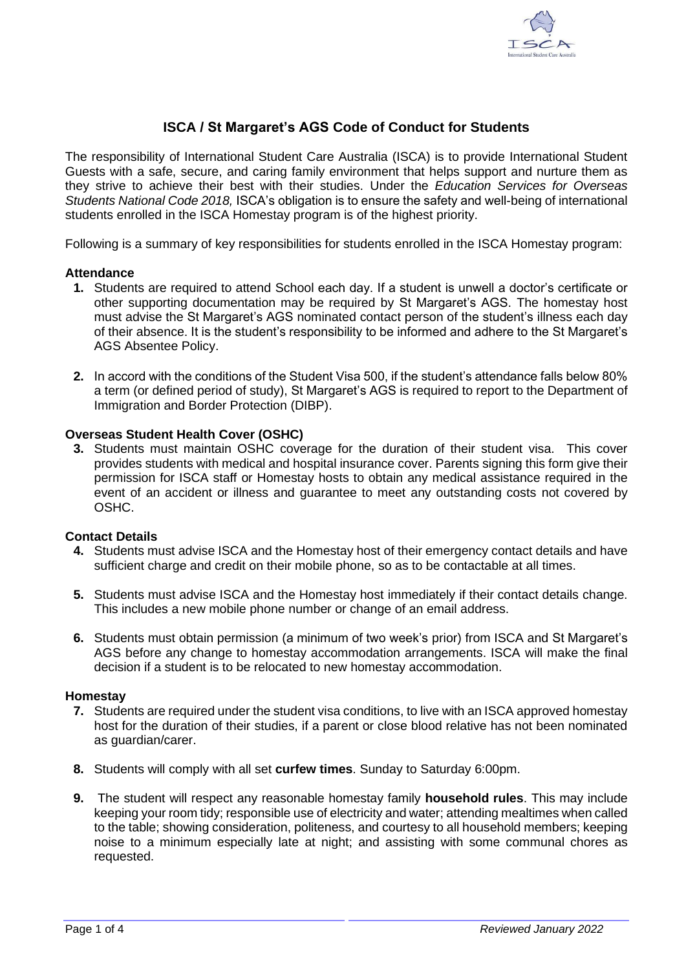

# **ISCA / St Margaret's AGS Code of Conduct for Students**

The responsibility of International Student Care Australia (ISCA) is to provide International Student Guests with a safe, secure, and caring family environment that helps support and nurture them as they strive to achieve their best with their studies. Under the *Education Services for Overseas Students National Code 2018,* ISCA's obligation is to ensure the safety and well-being of international students enrolled in the ISCA Homestay program is of the highest priority.

Following is a summary of key responsibilities for students enrolled in the ISCA Homestay program:

## **Attendance**

- **1.** Students are required to attend School each day. If a student is unwell a doctor's certificate or other supporting documentation may be required by St Margaret's AGS. The homestay host must advise the St Margaret's AGS nominated contact person of the student's illness each day of their absence. It is the student's responsibility to be informed and adhere to the St Margaret's AGS Absentee Policy.
- **2.** In accord with the conditions of the Student Visa 500, if the student's attendance falls below 80% a term (or defined period of study), St Margaret's AGS is required to report to the Department of Immigration and Border Protection (DIBP).

## **Overseas Student Health Cover (OSHC)**

**3.** Students must maintain OSHC coverage for the duration of their student visa. This cover provides students with medical and hospital insurance cover. Parents signing this form give their permission for ISCA staff or Homestay hosts to obtain any medical assistance required in the event of an accident or illness and guarantee to meet any outstanding costs not covered by OSHC.

### **Contact Details**

- **4.** Students must advise ISCA and the Homestay host of their emergency contact details and have sufficient charge and credit on their mobile phone, so as to be contactable at all times.
- **5.** Students must advise ISCA and the Homestay host immediately if their contact details change. This includes a new mobile phone number or change of an email address.
- **6.** Students must obtain permission (a minimum of two week's prior) from ISCA and St Margaret's AGS before any change to homestay accommodation arrangements. ISCA will make the final decision if a student is to be relocated to new homestay accommodation.

### **Homestay**

- **7.** Students are required under the student visa conditions, to live with an ISCA approved homestay host for the duration of their studies, if a parent or close blood relative has not been nominated as guardian/carer.
- **8.** Students will comply with all set **curfew times**. Sunday to Saturday 6:00pm.
- **9.** The student will respect any reasonable homestay family **household rules**. This may include keeping your room tidy; responsible use of electricity and water; attending mealtimes when called to the table; showing consideration, politeness, and courtesy to all household members; keeping noise to a minimum especially late at night; and assisting with some communal chores as requested.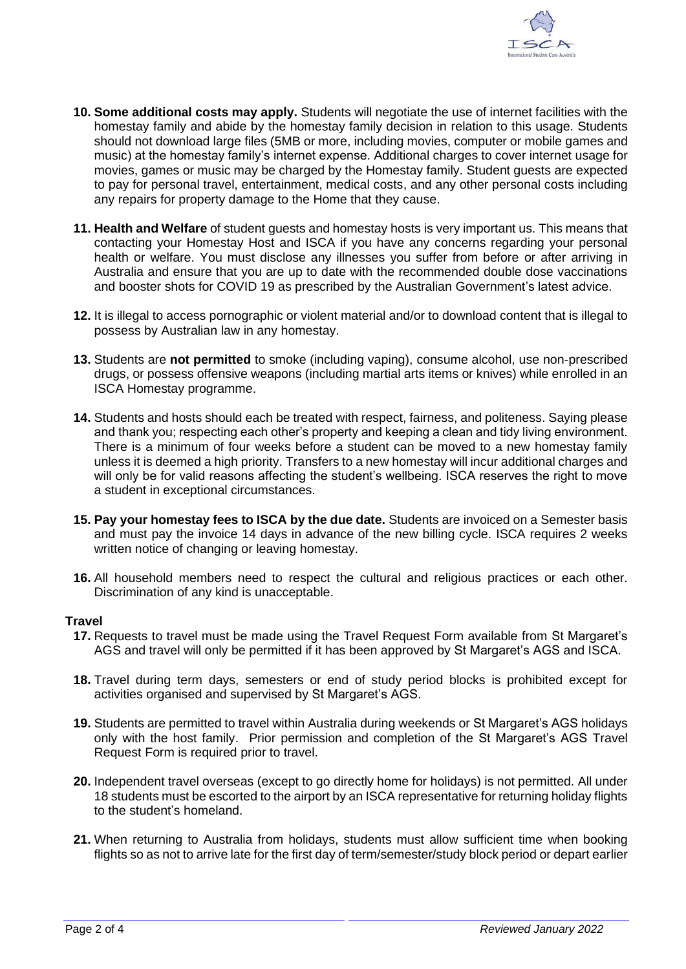

- **10. Some additional costs may apply.** Students will negotiate the use of internet facilities with the homestay family and abide by the homestay family decision in relation to this usage. Students should not download large files (5MB or more, including movies, computer or mobile games and music) at the homestay family's internet expense. Additional charges to cover internet usage for movies, games or music may be charged by the Homestay family. Student guests are expected to pay for personal travel, entertainment, medical costs, and any other personal costs including any repairs for property damage to the Home that they cause.
- **11. Health and Welfare** of student guests and homestay hosts is very important us. This means that contacting your Homestay Host and ISCA if you have any concerns regarding your personal health or welfare. You must disclose any illnesses you suffer from before or after arriving in Australia and ensure that you are up to date with the recommended double dose vaccinations and booster shots for COVID 19 as prescribed by the Australian Government's latest advice.
- **12.** It is illegal to access pornographic or violent material and/or to download content that is illegal to possess by Australian law in any homestay.
- **13.** Students are **not permitted** to smoke (including vaping), consume alcohol, use non-prescribed drugs, or possess offensive weapons (including martial arts items or knives) while enrolled in an ISCA Homestay programme.
- **14.** Students and hosts should each be treated with respect, fairness, and politeness. Saying please and thank you; respecting each other's property and keeping a clean and tidy living environment. There is a minimum of four weeks before a student can be moved to a new homestay family unless it is deemed a high priority. Transfers to a new homestay will incur additional charges and will only be for valid reasons affecting the student's wellbeing. ISCA reserves the right to move a student in exceptional circumstances.
- **15. Pay your homestay fees to ISCA by the due date.** Students are invoiced on a Semester basis and must pay the invoice 14 days in advance of the new billing cycle. ISCA requires 2 weeks written notice of changing or leaving homestay.
- **16.** All household members need to respect the cultural and religious practices or each other. Discrimination of any kind is unacceptable.

### **Travel**

- **17.** Requests to travel must be made using the Travel Request Form available from St Margaret's AGS and travel will only be permitted if it has been approved by St Margaret's AGS and ISCA.
- **18.** Travel during term days, semesters or end of study period blocks is prohibited except for activities organised and supervised by St Margaret's AGS.
- **19.** Students are permitted to travel within Australia during weekends or St Margaret's AGS holidays only with the host family. Prior permission and completion of the St Margaret's AGS Travel Request Form is required prior to travel.
- **20.** Independent travel overseas (except to go directly home for holidays) is not permitted. All under 18 students must be escorted to the airport by an ISCA representative for returning holiday flights to the student's homeland.
- **21.** When returning to Australia from holidays, students must allow sufficient time when booking flights so as not to arrive late for the first day of term/semester/study block period or depart earlier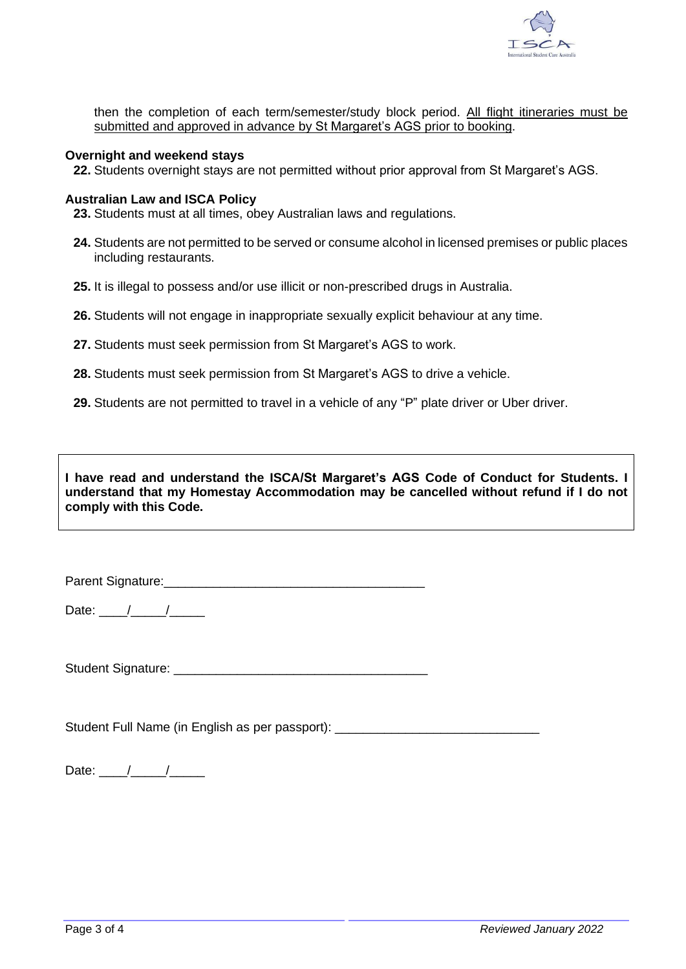

then the completion of each term/semester/study block period. All flight itineraries must be submitted and approved in advance by St Margaret's AGS prior to booking.

### **Overnight and weekend stays**

**22.** Students overnight stays are not permitted without prior approval from St Margaret's AGS.

### **Australian Law and ISCA Policy**

**23.** Students must at all times, obey Australian laws and regulations.

- **24.** Students are not permitted to be served or consume alcohol in licensed premises or public places including restaurants.
- **25.** It is illegal to possess and/or use illicit or non-prescribed drugs in Australia.
- **26.** Students will not engage in inappropriate sexually explicit behaviour at any time.
- **27.** Students must seek permission from St Margaret's AGS to work.
- **28.** Students must seek permission from St Margaret's AGS to drive a vehicle.
- 29. Students are not permitted to travel in a vehicle of any "P" plate driver or Uber driver.

**I have read and understand the ISCA/St Margaret's AGS Code of Conduct for Students. I understand that my Homestay Accommodation may be cancelled without refund if I do not comply with this Code.**

Parent Signature:\_\_\_\_\_\_\_\_\_\_\_\_\_\_\_\_\_\_\_\_\_\_\_\_\_\_\_\_\_\_\_\_\_\_\_\_\_

Date:  $\frac{1}{\sqrt{2\pi}}$ 

Student Signature: \_\_\_\_\_\_\_\_\_\_\_\_\_\_\_\_\_\_\_\_\_\_\_\_\_\_\_\_\_\_\_\_\_\_\_\_

Student Full Name (in English as per passport): \_\_\_\_\_\_\_\_\_\_\_\_\_\_\_\_\_\_\_\_\_\_\_\_\_\_\_\_\_\_\_\_

Date: \_\_\_\_/\_\_\_\_\_/\_\_\_\_\_